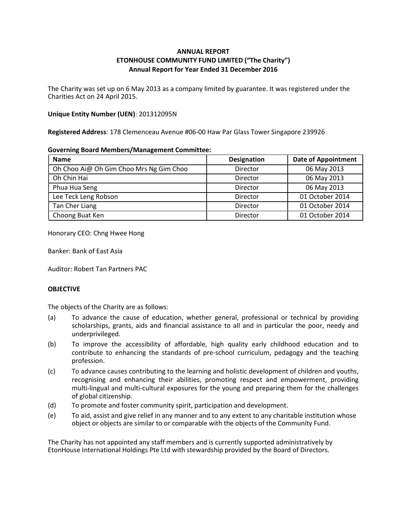# ANNUAL REPORT ETONHOUSE COMMUNITY FUND LIMITED ("The Charity") Annual Report for Year Ended 31 December 2016

The Charity was set up on 6 May 2013 as a company limited by guarantee. It was registered under the Charities Act on 24 April 2015.

### Unique Entity Number (UEN): 201312095N

Registered Address: 178 Clemenceau Avenue #06-00 Haw Par Glass Tower Singapore 239926

#### Governing Board Members/Management Committee:

| <b>Name</b>                             | Designation | <b>Date of Appointment</b> |
|-----------------------------------------|-------------|----------------------------|
| Oh Choo Ai@ Oh Gim Choo Mrs Ng Gim Choo | Director    | 06 May 2013                |
| Oh Chin Hai                             | Director    | 06 May 2013                |
| Phua Hua Seng                           | Director    | 06 May 2013                |
| Lee Teck Leng Robson                    | Director    | 01 October 2014            |
| Tan Cher Liang                          | Director    | 01 October 2014            |
| Choong Buat Ken                         | Director    | 01 October 2014            |

Honorary CEO: Chng Hwee Hong

Banker: Bank of East Asia

Auditor: Robert Tan Partners PAC

## **OBJECTIVE**

The objects of the Charity are as follows:

- (a) To advance the cause of education, whether general, professional or technical by providing scholarships, grants, aids and financial assistance to all and in particular the poor, needy and underprivileged.
- (b) To improve the accessibility of affordable, high quality early childhood education and to contribute to enhancing the standards of pre-school curriculum, pedagogy and the teaching profession.
- (c) To advance causes contributing to the learning and holistic development of children and youths, recognising and enhancing their abilities, promoting respect and empowerment, providing multi-lingual and multi-cultural exposures for the young and preparing them for the challenges of global citizenship.
- (d) To promote and foster community spirit, participation and development.
- (e) To aid, assist and give relief in any manner and to any extent to any charitable institution whose object or objects are similar to or comparable with the objects of the Community Fund.

The Charity has not appointed any staff members and is currently supported administratively by EtonHouse International Holdings Pte Ltd with stewardship provided by the Board of Directors.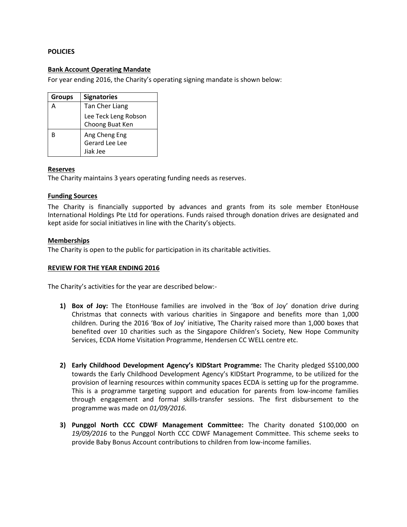### **POLICIES**

### Bank Account Operating Mandate

For year ending 2016, the Charity's operating signing mandate is shown below:

| <b>Groups</b> | <b>Signatories</b>                          |
|---------------|---------------------------------------------|
| Α             | Tan Cher Liang                              |
|               | Lee Teck Leng Robson<br>Choong Buat Ken     |
| R             | Ang Cheng Eng<br>Gerard Lee Lee<br>Jiak Jee |

### Reserves

The Charity maintains 3 years operating funding needs as reserves.

#### Funding Sources

The Charity is financially supported by advances and grants from its sole member EtonHouse International Holdings Pte Ltd for operations. Funds raised through donation drives are designated and kept aside for social initiatives in line with the Charity's objects.

### **Memberships**

The Charity is open to the public for participation in its charitable activities.

#### REVIEW FOR THE YEAR ENDING 2016

The Charity's activities for the year are described below:-

- 1) Box of Joy: The EtonHouse families are involved in the 'Box of Joy' donation drive during Christmas that connects with various charities in Singapore and benefits more than 1,000 children. During the 2016 'Box of Joy' initiative, The Charity raised more than 1,000 boxes that benefited over 10 charities such as the Singapore Children's Society, New Hope Community Services, ECDA Home Visitation Programme, Hendersen CC WELL centre etc.
- 2) Early Childhood Development Agency's KIDStart Programme: The Charity pledged S\$100,000 towards the Early Childhood Development Agency's KIDStart Programme, to be utilized for the provision of learning resources within community spaces ECDA is setting up for the programme. This is a programme targeting support and education for parents from low-income families through engagement and formal skills-transfer sessions. The first disbursement to the programme was made on 01/09/2016.
- 3) Punggol North CCC CDWF Management Committee: The Charity donated \$100,000 on 19/09/2016 to the Punggol North CCC CDWF Management Committee. This scheme seeks to provide Baby Bonus Account contributions to children from low-income families.